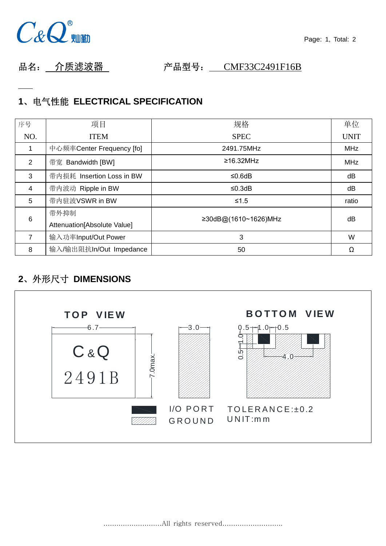

品名: 介质滤波器 产品型号: CMF33C2491F16B

# **1**、电气性能 **ELECTRICAL SPECIFICATION**

| 序号              | 项目                          | 规格                   | 单位          |
|-----------------|-----------------------------|----------------------|-------------|
| NO.             | <b>ITEM</b>                 | <b>SPEC</b>          | <b>UNIT</b> |
|                 | 中心频率Center Frequency [fo]   | 2491.75MHz           | <b>MHz</b>  |
| 2               | 带宽 Bandwidth [BW]           | $\geq 16.32$ MHz     | <b>MHz</b>  |
| 3               | 带内损耗 Insertion Loss in BW   | ≤0.6dB               | dB          |
| $\overline{4}$  | 带内波动 Ripple in BW           | $≤0.3dB$             | dB          |
| 5               | 带内驻波VSWR in BW              | $≤1.5$               | ratio       |
| $6\phantom{1}6$ | 带外抑制                        | ≥30dB@(1610~1626)MHz | dB          |
|                 | Attenuation[Absolute Value] |                      |             |
| 7               | 输入功率Input/Out Power         | 3                    | W           |
| 8               | 输入/输出阻抗In/Out Impedance     | 50                   | Ω           |

## **2**、外形尺寸 **DIMENSIONS**